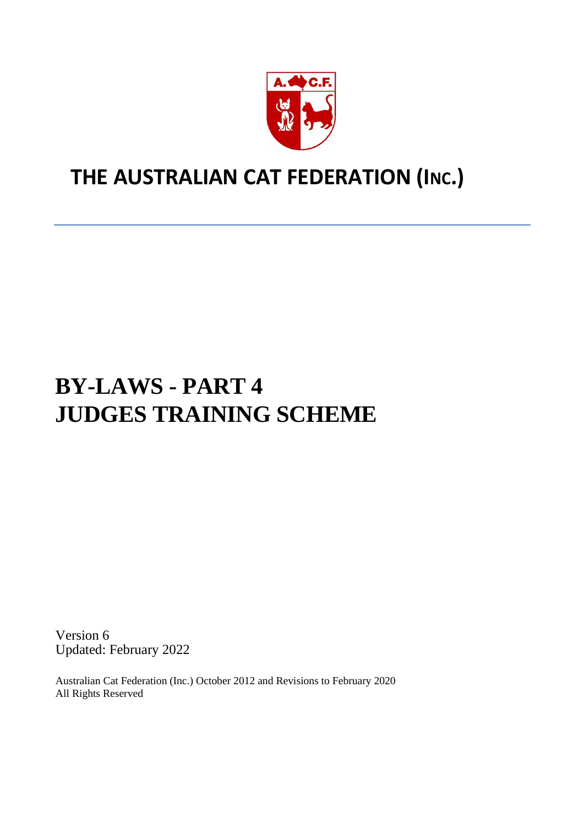

# **THE AUSTRALIAN CAT FEDERATION (INC.)**

# **BY-LAWS - PART 4 JUDGES TRAINING SCHEME**

Version 6 Updated: February 2022

Australian Cat Federation (Inc.) October 2012 and Revisions to February 2020 All Rights Reserved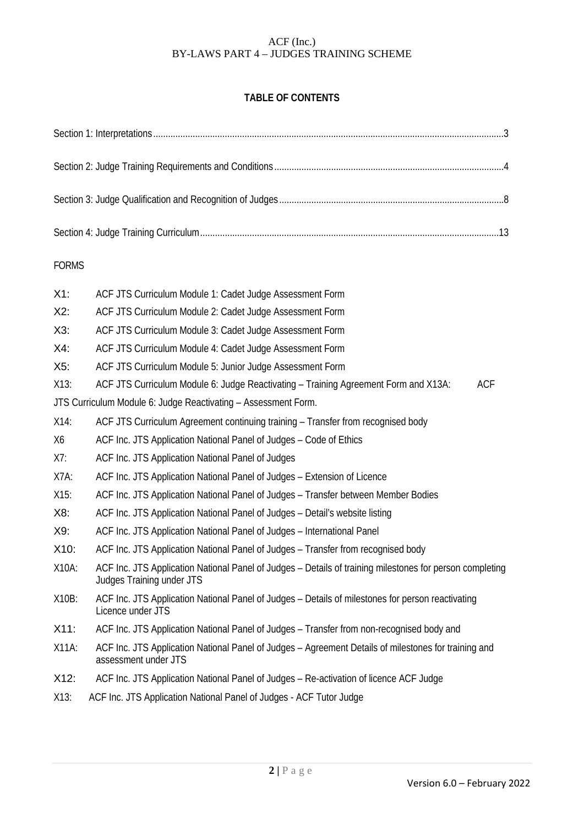# **TABLE OF CONTENTS**

| <b>FORMS</b> |                                                                                                                                       |  |  |
|--------------|---------------------------------------------------------------------------------------------------------------------------------------|--|--|
| $X1$ :       | ACF JTS Curriculum Module 1: Cadet Judge Assessment Form                                                                              |  |  |
| X2:          | ACF JTS Curriculum Module 2: Cadet Judge Assessment Form                                                                              |  |  |
| $X3$ :       | ACF JTS Curriculum Module 3: Cadet Judge Assessment Form                                                                              |  |  |
| $X4$ :       | ACF JTS Curriculum Module 4: Cadet Judge Assessment Form                                                                              |  |  |
| X5:          | ACF JTS Curriculum Module 5: Junior Judge Assessment Form                                                                             |  |  |
| $X13$ :      | <b>ACF</b><br>ACF JTS Curriculum Module 6: Judge Reactivating - Training Agreement Form and X13A:                                     |  |  |
|              | JTS Curriculum Module 6: Judge Reactivating - Assessment Form.                                                                        |  |  |
| $X14$ :      | ACF JTS Curriculum Agreement continuing training - Transfer from recognised body                                                      |  |  |
| X6           | ACF Inc. JTS Application National Panel of Judges - Code of Ethics                                                                    |  |  |
| X7:          | ACF Inc. JTS Application National Panel of Judges                                                                                     |  |  |
| X7A:         | ACF Inc. JTS Application National Panel of Judges - Extension of Licence                                                              |  |  |
| X15:         | ACF Inc. JTS Application National Panel of Judges - Transfer between Member Bodies                                                    |  |  |
| X8:          | ACF Inc. JTS Application National Panel of Judges - Detail's website listing                                                          |  |  |
| X9:          | ACF Inc. JTS Application National Panel of Judges - International Panel                                                               |  |  |
| X10:         | ACF Inc. JTS Application National Panel of Judges - Transfer from recognised body                                                     |  |  |
| X10A:        | ACF Inc. JTS Application National Panel of Judges - Details of training milestones for person completing<br>Judges Training under JTS |  |  |
| X10B:        | ACF Inc. JTS Application National Panel of Judges - Details of milestones for person reactivating<br>Licence under JTS                |  |  |
| X11:         | ACF Inc. JTS Application National Panel of Judges - Transfer from non-recognised body and                                             |  |  |
| X11A:        | ACF Inc. JTS Application National Panel of Judges - Agreement Details of milestones for training and<br>assessment under JTS          |  |  |
| X12:         | ACF Inc. JTS Application National Panel of Judges - Re-activation of licence ACF Judge                                                |  |  |
| X13:         | ACF Inc. JTS Application National Panel of Judges - ACF Tutor Judge                                                                   |  |  |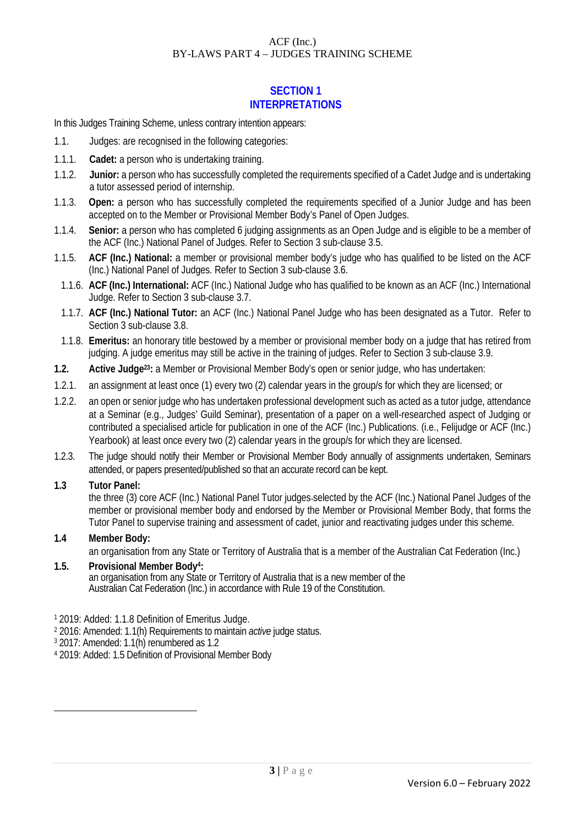# **SECTION 1 INTERPRETATIONS**

In this Judges Training Scheme, unless contrary intention appears:

- 1.1. Judges: are recognised in the following categories:
- 1.1.1. **Cadet:** a person who is undertaking training.
- 1.1.2. **Junior:** a person who has successfully completed the requirements specified of a Cadet Judge and is undertaking a tutor assessed period of internship.
- 1.1.3. **Open:** a person who has successfully completed the requirements specified of a Junior Judge and has been accepted on to the Member or Provisional Member Body's Panel of Open Judges.
- 1.1.4. **Senior:** a person who has completed 6 judging assignments as an Open Judge and is eligible to be a member of the ACF (Inc.) National Panel of Judges. Refer to Section 3 sub-clause 3.5.
- 1.1.5. **ACF (Inc.) National:** a member or provisional member body's judge who has qualified to be listed on the ACF (Inc.) National Panel of Judges. Refer to Section 3 sub-clause 3.6.
	- 1.1.6. **ACF (Inc.) International:** ACF (Inc.) National Judge who has qualified to be known as an ACF (Inc.) International Judge. Refer to Section 3 sub-clause 3.7.
- 1.1.7. **ACF (Inc.) National Tutor:** an ACF (Inc.) National Panel Judge who has been designated as a Tutor. Refer to Section 3 sub-clause 3.8.
- 1.1.8. **Emeritus:** an honorary title bestowed by a member or provisional member body on a judge that has retired from judging. A judge emeritus may still be active in the training of judges. Refer to Section 3 sub-clause 3.9.
- **1.2. Active Judge23:** a Member or Provisional Member Body's open or senior judge, who has undertaken:
- 1.2.1. an assignment at least once (1) every two (2) calendar years in the group/s for which they are licensed; or
- 1.2.2. an open or senior judge who has undertaken professional development such as acted as a tutor judge, attendance at a Seminar (e.g., Judges' Guild Seminar), presentation of a paper on a well-researched aspect of Judging or contributed a specialised article for publication in one of the ACF (Inc.) Publications. (i.e., Felijudge or ACF (Inc.) Yearbook) at least once every two (2) calendar years in the group/s for which they are licensed.
- 1.2.3. The judge should notify their Member or Provisional Member Body annually of assignments undertaken, Seminars attended, or papers presented/published so that an accurate record can be kept.

#### **1.3 Tutor Panel:**

the three (3) core ACF (Inc.) National Panel Tutor judges selected by the ACF (Inc.) National Panel Judges of the member or provisional member body and endorsed by the Member or Provisional Member Body, that forms the Tutor Panel to supervise training and assessment of cadet, junior and reactivating judges under this scheme.

#### **1.4 Member Body:**

an organisation from any State or Territory of Australia that is a member of the Australian Cat Federation (Inc.)

#### **1.5. Provisional Member Body4:**  an organisation from any State or Territory of Australia that is a new member of the Australian Cat Federation (Inc.) in accordance with Rule 19 of the Constitution.

- <sup>1</sup> 2019: Added: 1.1.8 Definition of Emeritus Judge.
- <sup>2</sup> 2016: Amended: 1.1(h) Requirements to maintain *active* judge status.
- $3$  2017: Amended: 1.1(h) renumbered as 1.2
- <sup>4</sup> 2019: Added: 1.5 Definition of Provisional Member Body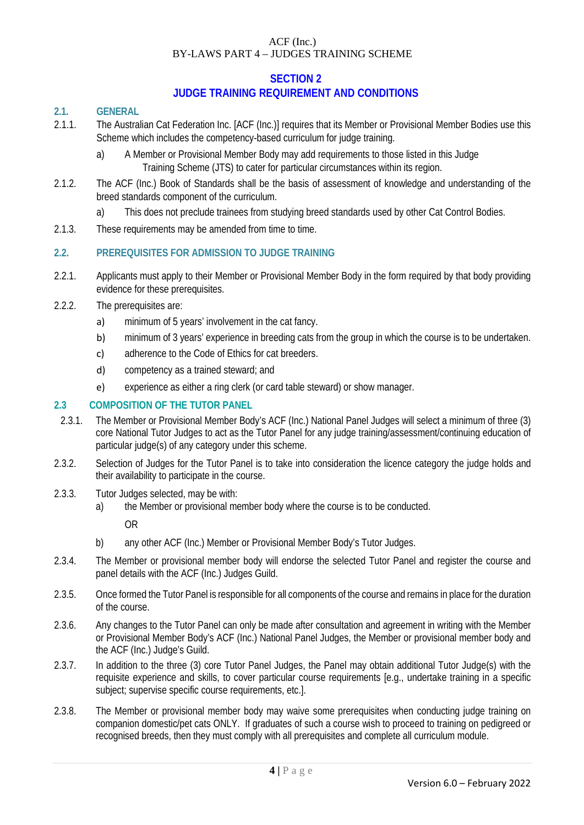#### **SECTION 2 JUDGE TRAINING REQUIREMENT AND CONDITIONS**

#### **2.1. GENERAL**

- 2.1.1. The Australian Cat Federation Inc. [ACF (Inc.)] requires that its Member or Provisional Member Bodies use this Scheme which includes the competency-based curriculum for judge training.
	- a) A Member or Provisional Member Body may add requirements to those listed in this Judge Training Scheme (JTS) to cater for particular circumstances within its region.
- 2.1.2. The ACF (Inc.) Book of Standards shall be the basis of assessment of knowledge and understanding of the breed standards component of the curriculum.
	- a) This does not preclude trainees from studying breed standards used by other Cat Control Bodies.
- 2.1.3. These requirements may be amended from time to time.

# **2.2. PREREQUISITES FOR ADMISSION TO JUDGE TRAINING**

- 2.2.1. Applicants must apply to their Member or Provisional Member Body in the form required by that body providing evidence for these prerequisites.
- 2.2.2. The prerequisites are:
	- a) minimum of 5 years' involvement in the cat fancy.
	- b) minimum of 3 years' experience in breeding cats from the group in which the course is to be undertaken.
	- c) adherence to the Code of Ethics for cat breeders.
	- d) competency as a trained steward; and
	- e) experience as either a ring clerk (or card table steward) or show manager.

#### **2.3 COMPOSITION OF THE TUTOR PANEL**

- 2.3.1. The Member or Provisional Member Body's ACF (Inc.) National Panel Judges will select a minimum of three (3) core National Tutor Judges to act as the Tutor Panel for any judge training/assessment/continuing education of particular judge(s) of any category under this scheme.
- 2.3.2. Selection of Judges for the Tutor Panel is to take into consideration the licence category the judge holds and their availability to participate in the course.
- 2.3.3. Tutor Judges selected, may be with:
	- a) the Member or provisional member body where the course is to be conducted.

OR

- b) any other ACF (Inc.) Member or Provisional Member Body's Tutor Judges.
- 2.3.4. The Member or provisional member body will endorse the selected Tutor Panel and register the course and panel details with the ACF (Inc.) Judges Guild.
- 2.3.5. Once formed the Tutor Panel is responsible for all components of the course and remains in place for the duration of the course.
- 2.3.6. Any changes to the Tutor Panel can only be made after consultation and agreement in writing with the Member or Provisional Member Body's ACF (Inc.) National Panel Judges, the Member or provisional member body and the ACF (Inc.) Judge's Guild.
- 2.3.7. In addition to the three (3) core Tutor Panel Judges, the Panel may obtain additional Tutor Judge(s) with the requisite experience and skills, to cover particular course requirements [e.g., undertake training in a specific subject; supervise specific course requirements, etc.].
- 2.3.8. The Member or provisional member body may waive some prerequisites when conducting judge training on companion domestic/pet cats ONLY. If graduates of such a course wish to proceed to training on pedigreed or recognised breeds, then they must comply with all prerequisites and complete all curriculum module.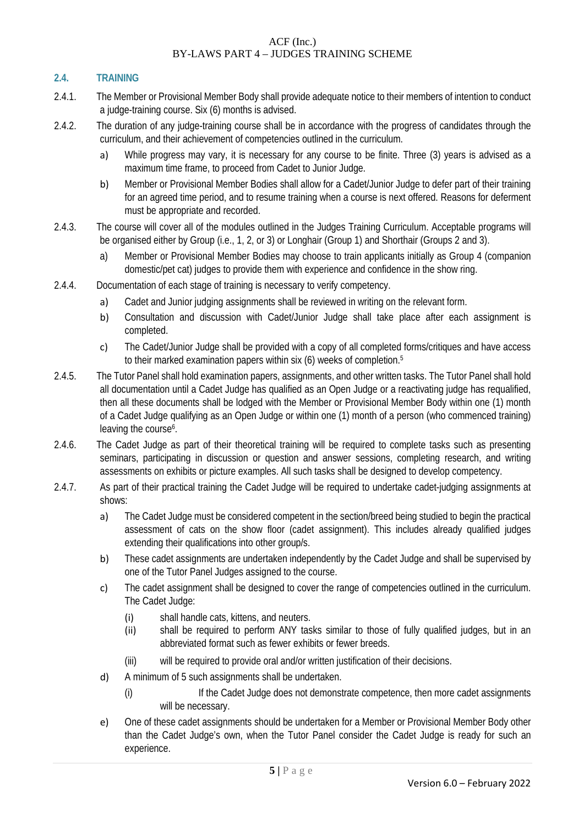## **2.4. TRAINING**

- 2.4.1. The Member or Provisional Member Body shall provide adequate notice to their members of intention to conduct a judge-training course. Six (6) months is advised.
- 2.4.2. The duration of any judge-training course shall be in accordance with the progress of candidates through the curriculum, and their achievement of competencies outlined in the curriculum.
	- a) While progress may vary, it is necessary for any course to be finite. Three (3) years is advised as a maximum time frame, to proceed from Cadet to Junior Judge.
	- b) Member or Provisional Member Bodies shall allow for a Cadet/Junior Judge to defer part of their training for an agreed time period, and to resume training when a course is next offered. Reasons for deferment must be appropriate and recorded.
- 2.4.3. The course will cover all of the modules outlined in the Judges Training Curriculum. Acceptable programs will be organised either by Group (i.e., 1, 2, or 3) or Longhair (Group 1) and Shorthair (Groups 2 and 3).
	- a) Member or Provisional Member Bodies may choose to train applicants initially as Group 4 (companion domestic/pet cat) judges to provide them with experience and confidence in the show ring.
- 2.4.4. Documentation of each stage of training is necessary to verify competency.
	- a) Cadet and Junior judging assignments shall be reviewed in writing on the relevant form.
	- b) Consultation and discussion with Cadet/Junior Judge shall take place after each assignment is completed.
	- c) The Cadet/Junior Judge shall be provided with a copy of all completed forms/critiques and have access to their marked examination papers within six (6) weeks of completion.<sup>5</sup>
- 2.4.5. The Tutor Panel shall hold examination papers, assignments, and other written tasks. The Tutor Panel shall hold all documentation until a Cadet Judge has qualified as an Open Judge or a reactivating judge has requalified, then all these documents shall be lodged with the Member or Provisional Member Body within one (1) month of a Cadet Judge qualifying as an Open Judge or within one (1) month of a person (who commenced training) leaving the course<sup>6</sup>.
- 2.4.6. The Cadet Judge as part of their theoretical training will be required to complete tasks such as presenting seminars, participating in discussion or question and answer sessions, completing research, and writing assessments on exhibits or picture examples. All such tasks shall be designed to develop competency.
- 2.4.7. As part of their practical training the Cadet Judge will be required to undertake cadet-judging assignments at shows:
	- a) The Cadet Judge must be considered competent in the section/breed being studied to begin the practical assessment of cats on the show floor (cadet assignment). This includes already qualified judges extending their qualifications into other group/s.
	- b) These cadet assignments are undertaken independently by the Cadet Judge and shall be supervised by one of the Tutor Panel Judges assigned to the course.
	- c) The cadet assignment shall be designed to cover the range of competencies outlined in the curriculum. The Cadet Judge:
		- (i) shall handle cats, kittens, and neuters.
		- (ii) shall be required to perform ANY tasks similar to those of fully qualified judges, but in an abbreviated format such as fewer exhibits or fewer breeds.
		- (iii) will be required to provide oral and/or written justification of their decisions.
	- d) A minimum of 5 such assignments shall be undertaken.
		- (i) If the Cadet Judge does not demonstrate competence, then more cadet assignments will be necessary.
	- e) One of these cadet assignments should be undertaken for a Member or Provisional Member Body other than the Cadet Judge's own, when the Tutor Panel consider the Cadet Judge is ready for such an experience.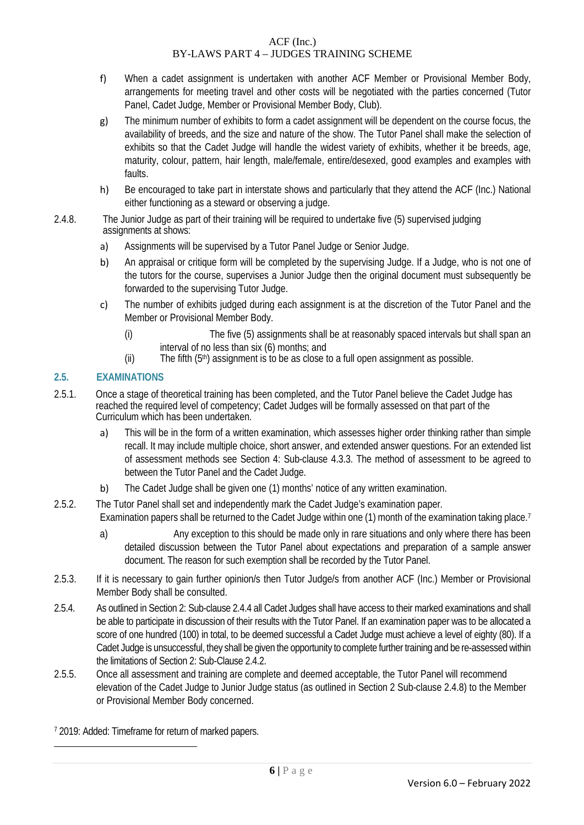- f) When a cadet assignment is undertaken with another ACF Member or Provisional Member Body, arrangements for meeting travel and other costs will be negotiated with the parties concerned (Tutor Panel, Cadet Judge, Member or Provisional Member Body, Club).
- g) The minimum number of exhibits to form a cadet assignment will be dependent on the course focus, the availability of breeds, and the size and nature of the show. The Tutor Panel shall make the selection of exhibits so that the Cadet Judge will handle the widest variety of exhibits, whether it be breeds, age, maturity, colour, pattern, hair length, male/female, entire/desexed, good examples and examples with faults.
- h) Be encouraged to take part in interstate shows and particularly that they attend the ACF (Inc.) National either functioning as a steward or observing a judge.
- 2.4.8. The Junior Judge as part of their training will be required to undertake five (5) supervised judging assignments at shows:
	- a) Assignments will be supervised by a Tutor Panel Judge or Senior Judge.
	- b) An appraisal or critique form will be completed by the supervising Judge. If a Judge, who is not one of the tutors for the course, supervises a Junior Judge then the original document must subsequently be forwarded to the supervising Tutor Judge.
	- c) The number of exhibits judged during each assignment is at the discretion of the Tutor Panel and the Member or Provisional Member Body.
		- (i) The five (5) assignments shall be at reasonably spaced intervals but shall span an interval of no less than six (6) months; and
		- (ii) The fifth  $(5<sup>th</sup>)$  assignment is to be as close to a full open assignment as possible.

# **2.5. EXAMINATIONS**

- 2.5.1. Once a stage of theoretical training has been completed, and the Tutor Panel believe the Cadet Judge has reached the required level of competency; Cadet Judges will be formally assessed on that part of the Curriculum which has been undertaken.
	- a) This will be in the form of a written examination, which assesses higher order thinking rather than simple recall. It may include multiple choice, short answer, and extended answer questions. For an extended list of assessment methods see Section 4: Sub-clause 4.3.3. The method of assessment to be agreed to between the Tutor Panel and the Cadet Judge.
	- b) The Cadet Judge shall be given one (1) months' notice of any written examination.
- 2.5.2. The Tutor Panel shall set and independently mark the Cadet Judge's examination paper. Examination papers shall be returned to the Cadet Judge within one (1) month of the examination taking place.<sup>7</sup>
	- a) Any exception to this should be made only in rare situations and only where there has been detailed discussion between the Tutor Panel about expectations and preparation of a sample answer document. The reason for such exemption shall be recorded by the Tutor Panel.
- 2.5.3. If it is necessary to gain further opinion/s then Tutor Judge/s from another ACF (Inc.) Member or Provisional Member Body shall be consulted.
- 2.5.4. As outlined in Section 2: Sub-clause 2.4.4 all Cadet Judges shall have access to their marked examinations and shall be able to participate in discussion of their results with the Tutor Panel. If an examination paper was to be allocated a score of one hundred (100) in total, to be deemed successful a Cadet Judge must achieve a level of eighty (80). If a Cadet Judge is unsuccessful, they shall be given the opportunity to complete further training and be re-assessed within the limitations of Section 2: Sub-Clause 2.4.2.
- 2.5.5. Once all assessment and training are complete and deemed acceptable, the Tutor Panel will recommend elevation of the Cadet Judge to Junior Judge status (as outlined in Section 2 Sub-clause 2.4.8) to the Member or Provisional Member Body concerned.

<sup>7</sup> 2019: Added: Timeframe for return of marked papers.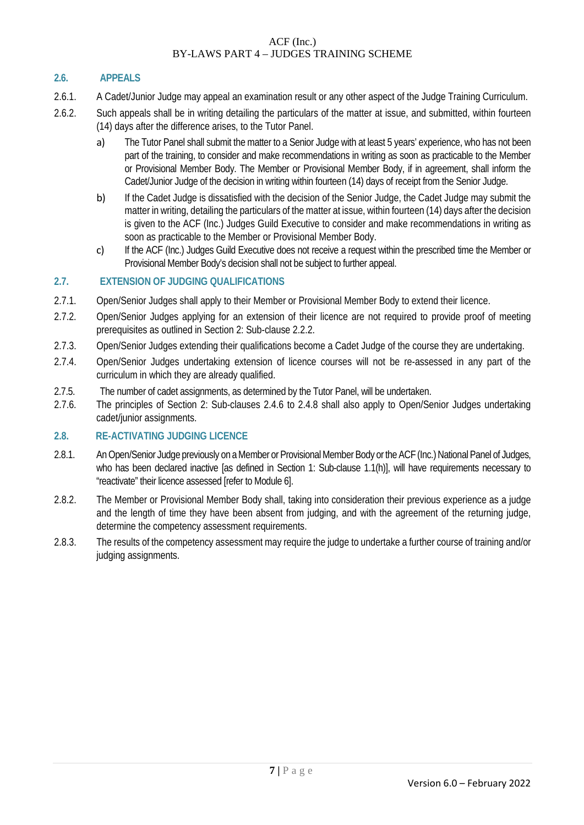# **2.6. APPEALS**

- 2.6.1. A Cadet/Junior Judge may appeal an examination result or any other aspect of the Judge Training Curriculum.
- 2.6.2. Such appeals shall be in writing detailing the particulars of the matter at issue, and submitted, within fourteen (14) days after the difference arises, to the Tutor Panel.
	- a) The Tutor Panel shall submit the matter to a Senior Judge with at least 5 years' experience, who has not been part of the training, to consider and make recommendations in writing as soon as practicable to the Member or Provisional Member Body. The Member or Provisional Member Body, if in agreement, shall inform the Cadet/Junior Judge of the decision in writing within fourteen (14) days of receipt from the Senior Judge.
	- b) If the Cadet Judge is dissatisfied with the decision of the Senior Judge, the Cadet Judge may submit the matter in writing, detailing the particulars of the matter at issue, within fourteen (14) days after the decision is given to the ACF (Inc.) Judges Guild Executive to consider and make recommendations in writing as soon as practicable to the Member or Provisional Member Body.
	- c) If the ACF (Inc.) Judges Guild Executive does not receive a request within the prescribed time the Member or Provisional Member Body's decision shall not be subject to further appeal.

#### **2.7. EXTENSION OF JUDGING QUALIFICATIONS**

- 2.7.1. Open/Senior Judges shall apply to their Member or Provisional Member Body to extend their licence.
- 2.7.2. Open/Senior Judges applying for an extension of their licence are not required to provide proof of meeting prerequisites as outlined in Section 2: Sub-clause 2.2.2.
- 2.7.3. Open/Senior Judges extending their qualifications become a Cadet Judge of the course they are undertaking.
- 2.7.4. Open/Senior Judges undertaking extension of licence courses will not be re-assessed in any part of the curriculum in which they are already qualified.
- 2.7.5. The number of cadet assignments, as determined by the Tutor Panel, will be undertaken.
- 2.7.6. The principles of Section 2: Sub-clauses 2.4.6 to 2.4.8 shall also apply to Open/Senior Judges undertaking cadet/junior assignments.

#### **2.8. RE-ACTIVATING JUDGING LICENCE**

- 2.8.1. An Open/Senior Judge previously on a Member or Provisional Member Body or the ACF (Inc.) National Panel of Judges, who has been declared inactive [as defined in Section 1: Sub-clause 1.1(h)], will have requirements necessary to "reactivate" their licence assessed [refer to Module 6].
- 2.8.2. The Member or Provisional Member Body shall, taking into consideration their previous experience as a judge and the length of time they have been absent from judging, and with the agreement of the returning judge, determine the competency assessment requirements.
- 2.8.3. The results of the competency assessment may require the judge to undertake a further course of training and/or judging assignments.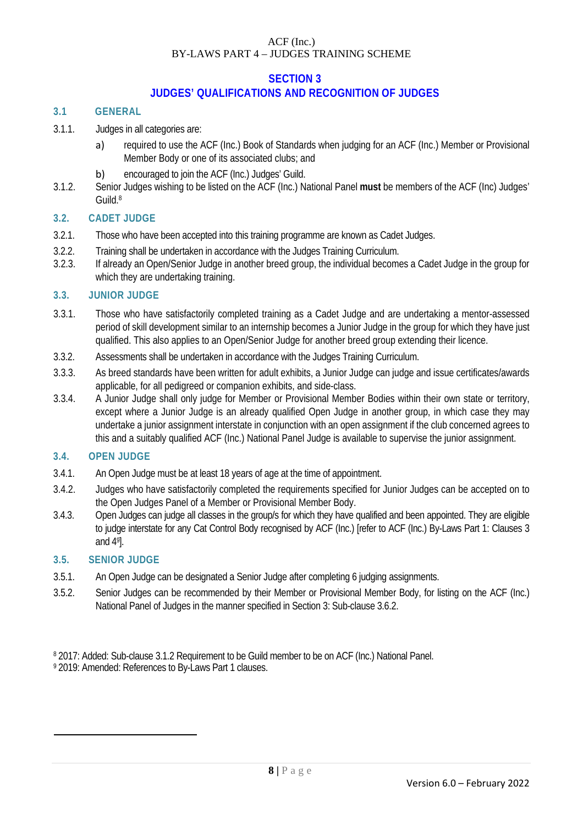# **SECTION 3**

# **JUDGES' QUALIFICATIONS AND RECOGNITION OF JUDGES**

#### **3.1 GENERAL**

- 3.1.1. Judges in all categories are:
	- a) required to use the ACF (Inc.) Book of Standards when judging for an ACF (Inc.) Member or Provisional Member Body or one of its associated clubs; and
	- b) encouraged to join the ACF (Inc.) Judges' Guild.
- 3.1.2. Senior Judges wishing to be listed on the ACF (Inc.) National Panel **must** be members of the ACF (Inc) Judges' Guild.8

#### **3.2. CADET JUDGE**

- 3.2.1. Those who have been accepted into this training programme are known as Cadet Judges.
- 3.2.2. Training shall be undertaken in accordance with the Judges Training Curriculum.
- 3.2.3. If already an Open/Senior Judge in another breed group, the individual becomes a Cadet Judge in the group for which they are undertaking training.

#### **3.3. JUNIOR JUDGE**

- 3.3.1. Those who have satisfactorily completed training as a Cadet Judge and are undertaking a mentor-assessed period of skill development similar to an internship becomes a Junior Judge in the group for which they have just qualified. This also applies to an Open/Senior Judge for another breed group extending their licence.
- 3.3.2. Assessments shall be undertaken in accordance with the Judges Training Curriculum.
- 3.3.3. As breed standards have been written for adult exhibits, a Junior Judge can judge and issue certificates/awards applicable, for all pedigreed or companion exhibits, and side-class.
- 3.3.4. A Junior Judge shall only judge for Member or Provisional Member Bodies within their own state or territory, except where a Junior Judge is an already qualified Open Judge in another group, in which case they may undertake a junior assignment interstate in conjunction with an open assignment if the club concerned agrees to this and a suitably qualified ACF (Inc.) National Panel Judge is available to supervise the junior assignment.

#### **3.4. OPEN JUDGE**

- 3.4.1. An Open Judge must be at least 18 years of age at the time of appointment.
- 3.4.2. Judges who have satisfactorily completed the requirements specified for Junior Judges can be accepted on to the Open Judges Panel of a Member or Provisional Member Body.
- 3.4.3. Open Judges can judge all classes in the group/s for which they have qualified and been appointed. They are eligible to judge interstate for any Cat Control Body recognised by ACF (Inc.) [refer to ACF (Inc.) By-Laws Part 1: Clauses 3 and 49 ].

#### **3.5. SENIOR JUDGE**

- 3.5.1. An Open Judge can be designated a Senior Judge after completing 6 judging assignments.
- 3.5.2. Senior Judges can be recommended by their Member or Provisional Member Body, for listing on the ACF (Inc.) National Panel of Judges in the manner specified in Section 3: Sub-clause 3.6.2.

<sup>9</sup> 2019: Amended: References to By-Laws Part 1 clauses.

<sup>8</sup> 2017: Added: Sub-clause 3.1.2 Requirement to be Guild member to be on ACF (Inc.) National Panel.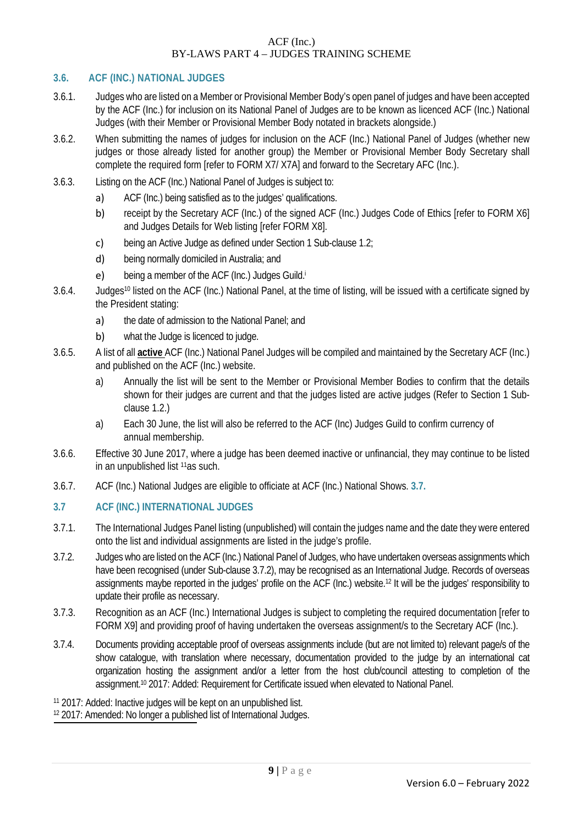#### **3.6. ACF (INC.) NATIONAL JUDGES**

- 3.6.1. Judges who are listed on a Member or Provisional Member Body's open panel of judges and have been accepted by the ACF (Inc.) for inclusion on its National Panel of Judges are to be known as licenced ACF (Inc.) National Judges (with their Member or Provisional Member Body notated in brackets alongside.)
- 3.6.2. When submitting the names of judges for inclusion on the ACF (Inc.) National Panel of Judges (whether new judges or those already listed for another group) the Member or Provisional Member Body Secretary shall complete the required form [refer to FORM X7/ X7A] and forward to the Secretary AFC (Inc.).
- 3.6.3. Listing on the ACF (Inc.) National Panel of Judges is subject to:
	- a) ACF (Inc.) being satisfied as to the judges' qualifications.
	- b) receipt by the Secretary ACF (Inc.) of the signed ACF (Inc.) Judges Code of Ethics [refer to FORM X6] and Judges Details for Web listing [refer FORM X8].
	- c) being an Active Judge as defined under Section 1 Sub-clause 1.2;
	- d) being normally domiciled in Australia; and
	- e) being a member of the ACF (Inc.) Judges Guild.i
- 3.6.4. Judges10 listed on the ACF (Inc.) National Panel, at the time of listing, will be issued with a certificate signed by the President stating:
	- a) the date of admission to the National Panel; and
	- b) what the Judge is licenced to judge.
- 3.6.5. A list of all **active** ACF (Inc.) National Panel Judges will be compiled and maintained by the Secretary ACF (Inc.) and published on the ACF (Inc.) website.
	- a) Annually the list will be sent to the Member or Provisional Member Bodies to confirm that the details shown for their judges are current and that the judges listed are active judges (Refer to Section 1 Subclause 1.2.)
	- a) Each 30 June, the list will also be referred to the ACF (Inc) Judges Guild to confirm currency of annual membership.
- 3.6.6. Effective 30 June 2017, where a judge has been deemed inactive or unfinancial, they may continue to be listed in an unpublished list 11as such.
- 3.6.7. ACF (Inc.) National Judges are eligible to officiate at ACF (Inc.) National Shows. **3.7.**

# **3.7 ACF (INC.) INTERNATIONAL JUDGES**

- 3.7.1. The International Judges Panel listing (unpublished) will contain the judges name and the date they were entered onto the list and individual assignments are listed in the judge's profile.
- 3.7.2. Judges who are listed on the ACF (Inc.) National Panel of Judges, who have undertaken overseas assignments which have been recognised (under Sub-clause 3.7.2), may be recognised as an International Judge. Records of overseas assignments maybe reported in the judges' profile on the ACF (Inc.) website.12 It will be the judges' responsibility to update their profile as necessary.
- 3.7.3. Recognition as an ACF (Inc.) International Judges is subject to completing the required documentation [refer to FORM X9] and providing proof of having undertaken the overseas assignment/s to the Secretary ACF (Inc.).
- 3.7.4. Documents providing acceptable proof of overseas assignments include (but are not limited to) relevant page/s of the show catalogue, with translation where necessary, documentation provided to the judge by an international cat organization hosting the assignment and/or a letter from the host club/council attesting to completion of the assignment.<sup>10</sup> 2017: Added: Requirement for Certificate issued when elevated to National Panel.
- <sup>11</sup> 2017: Added: Inactive judges will be kept on an unpublished list.

<sup>12</sup> 2017: Amended: No longer a published list of International Judges.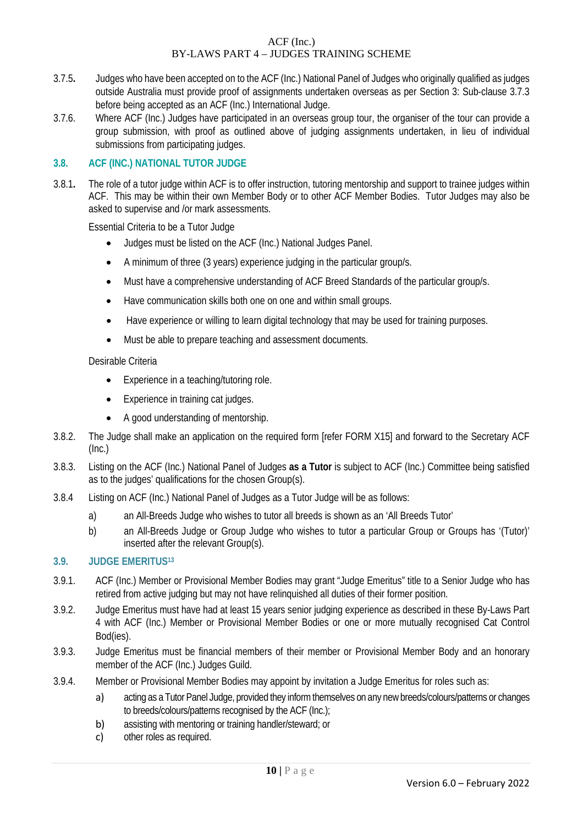- 3.7.5**.** Judges who have been accepted on to the ACF (Inc.) National Panel of Judges who originally qualified as judges outside Australia must provide proof of assignments undertaken overseas as per Section 3: Sub-clause 3.7.3 before being accepted as an ACF (Inc.) International Judge.
- 3.7.6. Where ACF (Inc.) Judges have participated in an overseas group tour, the organiser of the tour can provide a group submission, with proof as outlined above of judging assignments undertaken, in lieu of individual submissions from participating judges.

#### **3.8. ACF (INC.) NATIONAL TUTOR JUDGE**

3.8.1**.** The role of a tutor judge within ACF is to offer instruction, tutoring mentorship and support to trainee judges within ACF. This may be within their own Member Body or to other ACF Member Bodies. Tutor Judges may also be asked to supervise and /or mark assessments.

Essential Criteria to be a Tutor Judge

- Judges must be listed on the ACF (Inc.) National Judges Panel.
- A minimum of three (3 years) experience judging in the particular group/s.
- Must have a comprehensive understanding of ACF Breed Standards of the particular group/s.
- Have communication skills both one on one and within small groups.
- Have experience or willing to learn digital technology that may be used for training purposes.
- Must be able to prepare teaching and assessment documents.

#### Desirable Criteria

- Experience in a teaching/tutoring role.
- Experience in training cat judges.
- A good understanding of mentorship.
- 3.8.2. The Judge shall make an application on the required form [refer FORM X15] and forward to the Secretary ACF (Inc.)
- 3.8.3. Listing on the ACF (Inc.) National Panel of Judges **as a Tutor** is subject to ACF (Inc.) Committee being satisfied as to the judges' qualifications for the chosen Group(s).
- 3.8.4 Listing on ACF (Inc.) National Panel of Judges as a Tutor Judge will be as follows:
	- a) an All-Breeds Judge who wishes to tutor all breeds is shown as an 'All Breeds Tutor'
	- b) an All-Breeds Judge or Group Judge who wishes to tutor a particular Group or Groups has '(Tutor)' inserted after the relevant Group(s).

#### **3.9. JUDGE EMERITUS13**

- 3.9.1. ACF (Inc.) Member or Provisional Member Bodies may grant "Judge Emeritus" title to a Senior Judge who has retired from active judging but may not have relinquished all duties of their former position.
- 3.9.2. Judge Emeritus must have had at least 15 years senior judging experience as described in these By-Laws Part 4 with ACF (Inc.) Member or Provisional Member Bodies or one or more mutually recognised Cat Control Bod(ies).
- 3.9.3. Judge Emeritus must be financial members of their member or Provisional Member Body and an honorary member of the ACF (Inc.) Judges Guild.
- 3.9.4. Member or Provisional Member Bodies may appoint by invitation a Judge Emeritus for roles such as:
	- a) acting as a Tutor Panel Judge, provided they inform themselves on any new breeds/colours/patterns or changes to breeds/colours/patterns recognised by the ACF (Inc.);
	- b) assisting with mentoring or training handler/steward; or
	- c) other roles as required.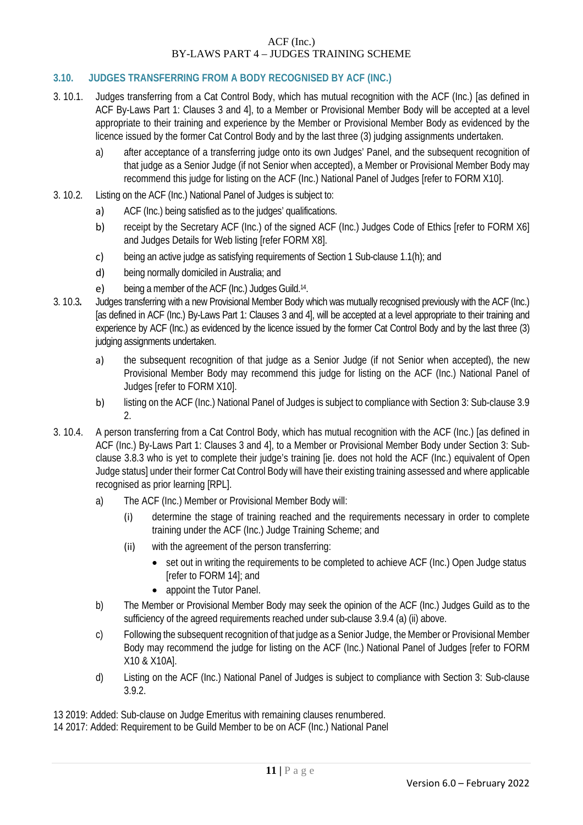# **3.10. JUDGES TRANSFERRING FROM A BODY RECOGNISED BY ACF (INC.)**

- 3. 10.1. Judges transferring from a Cat Control Body, which has mutual recognition with the ACF (Inc.) [as defined in ACF By-Laws Part 1: Clauses 3 and 4], to a Member or Provisional Member Body will be accepted at a level appropriate to their training and experience by the Member or Provisional Member Body as evidenced by the licence issued by the former Cat Control Body and by the last three (3) judging assignments undertaken.
	- a) after acceptance of a transferring judge onto its own Judges' Panel, and the subsequent recognition of that judge as a Senior Judge (if not Senior when accepted), a Member or Provisional Member Body may recommend this judge for listing on the ACF (Inc.) National Panel of Judges [refer to FORM X10].
- 3. 10.2. Listing on the ACF (Inc.) National Panel of Judges is subject to:
	- a) ACF (Inc.) being satisfied as to the judges' qualifications.
	- b) receipt by the Secretary ACF (Inc.) of the signed ACF (Inc.) Judges Code of Ethics [refer to FORM X6] and Judges Details for Web listing [refer FORM X8].
	- c) being an active judge as satisfying requirements of Section 1 Sub-clause 1.1(h); and
	- d) being normally domiciled in Australia; and
	- e) being a member of the ACF (Inc.) Judges Guild.14.
- 3. 10.3**.** Judges transferring with a new Provisional Member Body which was mutually recognised previously with the ACF (Inc.) [as defined in ACF (Inc.) By-Laws Part 1: Clauses 3 and 4], will be accepted at a level appropriate to their training and experience by ACF (Inc.) as evidenced by the licence issued by the former Cat Control Body and by the last three (3) judging assignments undertaken.
	- a) the subsequent recognition of that judge as a Senior Judge (if not Senior when accepted), the new Provisional Member Body may recommend this judge for listing on the ACF (Inc.) National Panel of Judges [refer to FORM X10].
	- b) listing on the ACF (Inc.) National Panel of Judges is subject to compliance with Section 3: Sub-clause 3.9  $\mathcal{L}$
- 3. 10.4. A person transferring from a Cat Control Body, which has mutual recognition with the ACF (Inc.) [as defined in ACF (Inc.) By-Laws Part 1: Clauses 3 and 4], to a Member or Provisional Member Body under Section 3: Subclause 3.8.3 who is yet to complete their judge's training [ie. does not hold the ACF (Inc.) equivalent of Open Judge status] under their former Cat Control Body will have their existing training assessed and where applicable recognised as prior learning [RPL].
	- a) The ACF (Inc.) Member or Provisional Member Body will:
		- (i) determine the stage of training reached and the requirements necessary in order to complete training under the ACF (Inc.) Judge Training Scheme; and
		- (ii) with the agreement of the person transferring:
			- set out in writing the requirements to be completed to achieve ACF (Inc.) Open Judge status [refer to FORM 14]; and
			- appoint the Tutor Panel.
	- b) The Member or Provisional Member Body may seek the opinion of the ACF (Inc.) Judges Guild as to the sufficiency of the agreed requirements reached under sub-clause 3.9.4 (a) (ii) above.
	- c) Following the subsequent recognition of that judge as a Senior Judge, the Member or Provisional Member Body may recommend the judge for listing on the ACF (Inc.) National Panel of Judges [refer to FORM X10 & X10A].
	- d) Listing on the ACF (Inc.) National Panel of Judges is subject to compliance with Section 3: Sub-clause 3.9.2.

13 2019: Added: Sub-clause on Judge Emeritus with remaining clauses renumbered.

14 2017: Added: Requirement to be Guild Member to be on ACF (Inc.) National Panel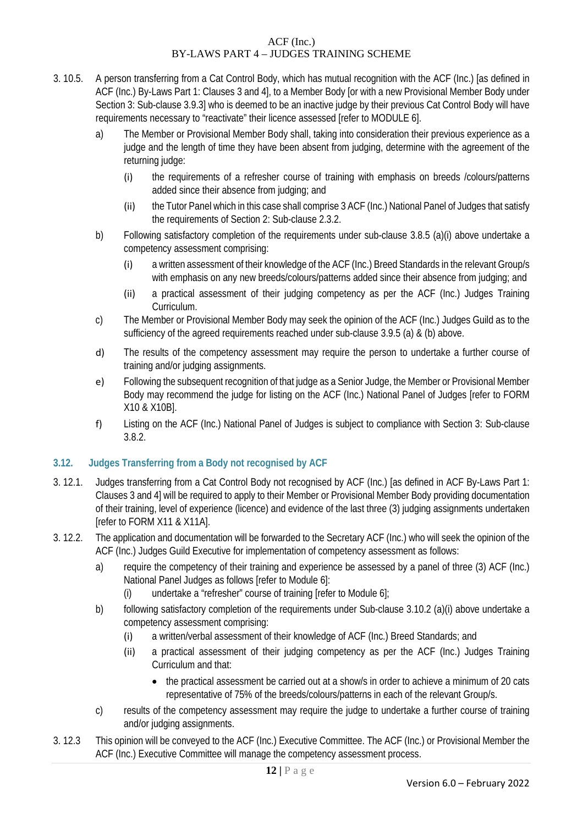- 3. 10.5. A person transferring from a Cat Control Body, which has mutual recognition with the ACF (Inc.) [as defined in ACF (Inc.) By-Laws Part 1: Clauses 3 and 4], to a Member Body [or with a new Provisional Member Body under Section 3: Sub-clause 3.9.3] who is deemed to be an inactive judge by their previous Cat Control Body will have requirements necessary to "reactivate" their licence assessed [refer to MODULE 6].
	- a) The Member or Provisional Member Body shall, taking into consideration their previous experience as a judge and the length of time they have been absent from judging, determine with the agreement of the returning judge:
		- (i) the requirements of a refresher course of training with emphasis on breeds /colours/patterns added since their absence from judging; and
		- (ii) the Tutor Panel which in this case shall comprise 3 ACF (Inc.) National Panel of Judges that satisfy the requirements of Section 2: Sub-clause 2.3.2.
	- b) Following satisfactory completion of the requirements under sub-clause 3.8.5 (a)(i) above undertake a competency assessment comprising:
		- (i) a written assessment of their knowledge of the ACF (Inc.) Breed Standards in the relevant Group/s with emphasis on any new breeds/colours/patterns added since their absence from judging; and
		- (ii) a practical assessment of their judging competency as per the ACF (Inc.) Judges Training Curriculum.
	- c) The Member or Provisional Member Body may seek the opinion of the ACF (Inc.) Judges Guild as to the sufficiency of the agreed requirements reached under sub-clause 3.9.5 (a) & (b) above.
	- d) The results of the competency assessment may require the person to undertake a further course of training and/or judging assignments.
	- e) Following the subsequent recognition of that judge as a Senior Judge, the Member or Provisional Member Body may recommend the judge for listing on the ACF (Inc.) National Panel of Judges [refer to FORM X10 & X10B].
	- f) Listing on the ACF (Inc.) National Panel of Judges is subject to compliance with Section 3: Sub-clause 3.8.2.

# **3.12. Judges Transferring from a Body not recognised by ACF**

- 3. 12.1. Judges transferring from a Cat Control Body not recognised by ACF (Inc.) [as defined in ACF By-Laws Part 1: Clauses 3 and 4] will be required to apply to their Member or Provisional Member Body providing documentation of their training, level of experience (licence) and evidence of the last three (3) judging assignments undertaken [refer to FORM X11 & X11A].
- 3. 12.2. The application and documentation will be forwarded to the Secretary ACF (Inc.) who will seek the opinion of the ACF (Inc.) Judges Guild Executive for implementation of competency assessment as follows:
	- a) require the competency of their training and experience be assessed by a panel of three (3) ACF (Inc.) National Panel Judges as follows [refer to Module 6]:
		- (i) undertake a "refresher" course of training [refer to Module  $6$ ];
	- b) following satisfactory completion of the requirements under Sub-clause 3.10.2 (a)(i) above undertake a competency assessment comprising:
		- (i) a written/verbal assessment of their knowledge of ACF (Inc.) Breed Standards; and
		- (ii) a practical assessment of their judging competency as per the ACF (Inc.) Judges Training Curriculum and that:
			- the practical assessment be carried out at a show/s in order to achieve a minimum of 20 cats representative of 75% of the breeds/colours/patterns in each of the relevant Group/s.
	- c) results of the competency assessment may require the judge to undertake a further course of training and/or judging assignments.
- 3. 12.3 This opinion will be conveyed to the ACF (Inc.) Executive Committee. The ACF (Inc.) or Provisional Member the ACF (Inc.) Executive Committee will manage the competency assessment process.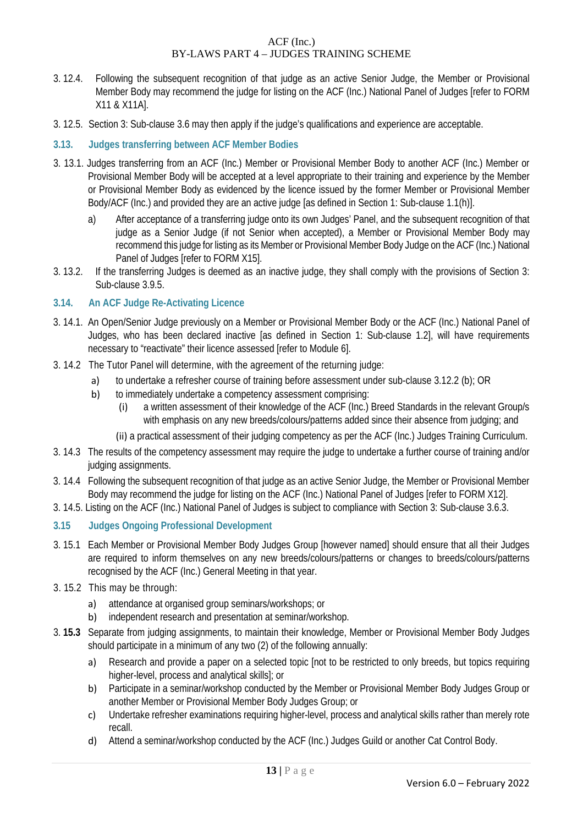- 3. 12.4. Following the subsequent recognition of that judge as an active Senior Judge, the Member or Provisional Member Body may recommend the judge for listing on the ACF (Inc.) National Panel of Judges [refer to FORM X11 & X11A].
- 3. 12.5. Section 3: Sub-clause 3.6 may then apply if the judge's qualifications and experience are acceptable.
- **3.13. Judges transferring between ACF Member Bodies**
- 3. 13.1. Judges transferring from an ACF (Inc.) Member or Provisional Member Body to another ACF (Inc.) Member or Provisional Member Body will be accepted at a level appropriate to their training and experience by the Member or Provisional Member Body as evidenced by the licence issued by the former Member or Provisional Member Body/ACF (Inc.) and provided they are an active judge [as defined in Section 1: Sub-clause 1.1(h)].
	- a) After acceptance of a transferring judge onto its own Judges' Panel, and the subsequent recognition of that judge as a Senior Judge (if not Senior when accepted), a Member or Provisional Member Body may recommend this judge for listing as its Member or Provisional Member Body Judge on the ACF (Inc.) National Panel of Judges [refer to FORM X15].
- 3. 13.2. If the transferring Judges is deemed as an inactive judge, they shall comply with the provisions of Section 3: Sub-clause 3.9.5.

#### **3.14. An ACF Judge Re-Activating Licence**

- 3. 14.1. An Open/Senior Judge previously on a Member or Provisional Member Body or the ACF (Inc.) National Panel of Judges, who has been declared inactive [as defined in Section 1: Sub-clause 1.2], will have requirements necessary to "reactivate" their licence assessed [refer to Module 6].
- 3. 14.2 The Tutor Panel will determine, with the agreement of the returning judge:
	- a) to undertake a refresher course of training before assessment under sub-clause 3.12.2 (b); OR
	- b) to immediately undertake a competency assessment comprising:
		- (i) a written assessment of their knowledge of the ACF (Inc.) Breed Standards in the relevant Group/s with emphasis on any new breeds/colours/patterns added since their absence from judging; and
		- (ii) a practical assessment of their judging competency as per the ACF (Inc.) Judges Training Curriculum.
- 3. 14.3 The results of the competency assessment may require the judge to undertake a further course of training and/or judging assignments.
- 3. 14.4 Following the subsequent recognition of that judge as an active Senior Judge, the Member or Provisional Member Body may recommend the judge for listing on the ACF (Inc.) National Panel of Judges [refer to FORM X12].
- 3. 14.5. Listing on the ACF (Inc.) National Panel of Judges is subject to compliance with Section 3: Sub-clause 3.6.3.

# **3.15 Judges Ongoing Professional Development**

- 3. 15.1 Each Member or Provisional Member Body Judges Group [however named] should ensure that all their Judges are required to inform themselves on any new breeds/colours/patterns or changes to breeds/colours/patterns recognised by the ACF (Inc.) General Meeting in that year.
- 3. 15.2 This may be through:
	- a) attendance at organised group seminars/workshops; or
	- b) independent research and presentation at seminar/workshop.
- 3. **15.3** Separate from judging assignments, to maintain their knowledge, Member or Provisional Member Body Judges should participate in a minimum of any two (2) of the following annually:
	- a) Research and provide a paper on a selected topic [not to be restricted to only breeds, but topics requiring higher-level, process and analytical skills]; or
	- b) Participate in a seminar/workshop conducted by the Member or Provisional Member Body Judges Group or another Member or Provisional Member Body Judges Group; or
	- c) Undertake refresher examinations requiring higher-level, process and analytical skills rather than merely rote recall.
	- d) Attend a seminar/workshop conducted by the ACF (Inc.) Judges Guild or another Cat Control Body.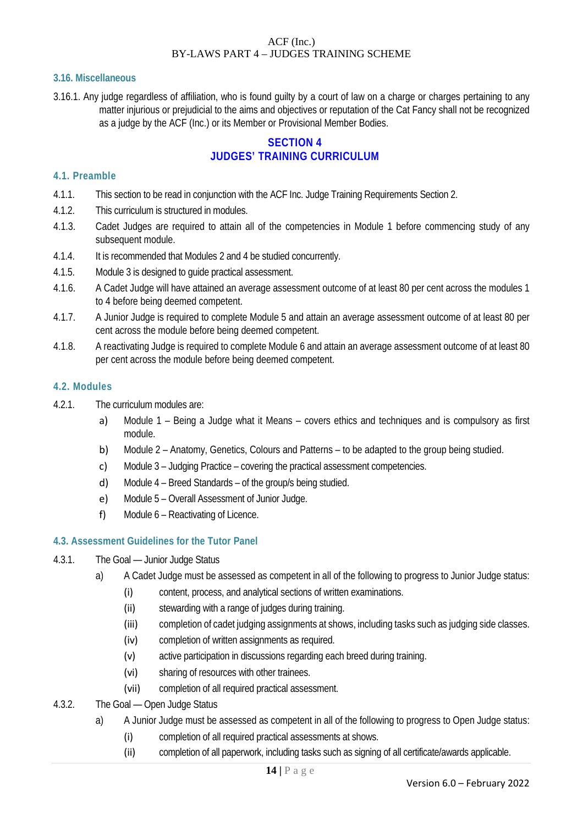#### **3.16. Miscellaneous**

3.16.1. Any judge regardless of affiliation, who is found guilty by a court of law on a charge or charges pertaining to any matter injurious or prejudicial to the aims and objectives or reputation of the Cat Fancy shall not be recognized as a judge by the ACF (Inc.) or its Member or Provisional Member Bodies.

# **SECTION 4 JUDGES' TRAINING CURRICULUM**

#### **4.1. Preamble**

- 4.1.1. This section to be read in conjunction with the ACF Inc. Judge Training Requirements Section 2.
- 4.1.2. This curriculum is structured in modules.
- 4.1.3. Cadet Judges are required to attain all of the competencies in Module 1 before commencing study of any subsequent module.
- 4.1.4. It is recommended that Modules 2 and 4 be studied concurrently.
- 4.1.5. Module 3 is designed to guide practical assessment.
- 4.1.6. A Cadet Judge will have attained an average assessment outcome of at least 80 per cent across the modules 1 to 4 before being deemed competent.
- 4.1.7. A Junior Judge is required to complete Module 5 and attain an average assessment outcome of at least 80 per cent across the module before being deemed competent.
- 4.1.8. A reactivating Judge is required to complete Module 6 and attain an average assessment outcome of at least 80 per cent across the module before being deemed competent.

#### **4.2. Modules**

- 4.2.1. The curriculum modules are:
	- a) Module 1 Being a Judge what it Means covers ethics and techniques and is compulsory as first module.
	- b) Module 2 Anatomy, Genetics, Colours and Patterns to be adapted to the group being studied.
	- c) Module 3 Judging Practice covering the practical assessment competencies.
	- d) Module 4 Breed Standards of the group/s being studied.
	- e) Module 5 Overall Assessment of Junior Judge.
	- f) Module 6 Reactivating of Licence.

#### **4.3. Assessment Guidelines for the Tutor Panel**

- 4.3.1. The Goal Junior Judge Status
	- a) A Cadet Judge must be assessed as competent in all of the following to progress to Junior Judge status:
		- (i) content, process, and analytical sections of written examinations.
		- (ii) stewarding with a range of judges during training.
		- (iii) completion of cadet judging assignments at shows, including tasks such as judging side classes.
		- (iv) completion of written assignments as required.
		- (v) active participation in discussions regarding each breed during training.
		- (vi) sharing of resources with other trainees.
		- (vii) completion of all required practical assessment.
- 4.3.2. The Goal Open Judge Status
	- a) A Junior Judge must be assessed as competent in all of the following to progress to Open Judge status:
		- (i) completion of all required practical assessments at shows.
		- (ii) completion of all paperwork, including tasks such as signing of all certificate/awards applicable.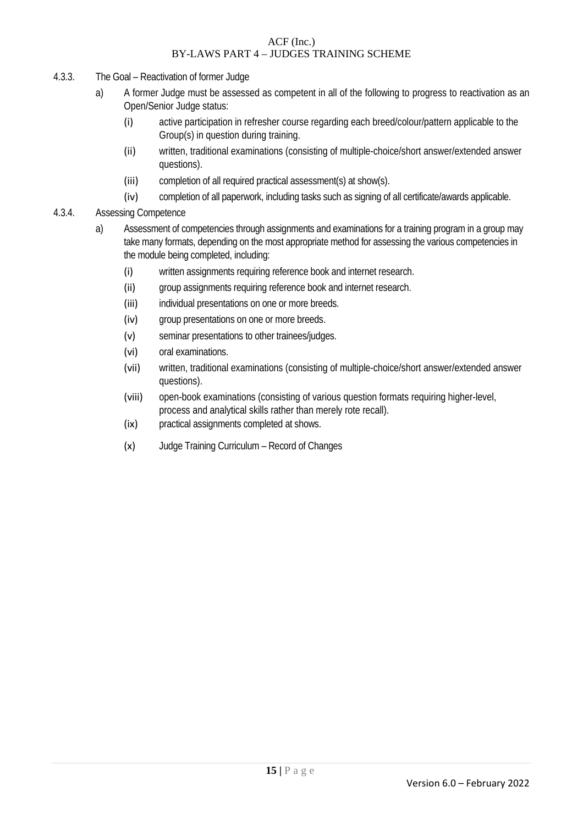- 4.3.3. The Goal Reactivation of former Judge
	- a) A former Judge must be assessed as competent in all of the following to progress to reactivation as an Open/Senior Judge status:
		- (i) active participation in refresher course regarding each breed/colour/pattern applicable to the Group(s) in question during training.
		- (ii) written, traditional examinations (consisting of multiple-choice/short answer/extended answer questions).
		- (iii) completion of all required practical assessment(s) at show(s).
		- (iv) completion of all paperwork, including tasks such as signing of all certificate/awards applicable.
- 4.3.4. Assessing Competence
	- a) Assessment of competencies through assignments and examinations for a training program in a group may take many formats, depending on the most appropriate method for assessing the various competencies in the module being completed, including:
		- (i) written assignments requiring reference book and internet research.
		- (ii) group assignments requiring reference book and internet research.
		- (iii) individual presentations on one or more breeds.
		- (iv) group presentations on one or more breeds.
		- (v) seminar presentations to other trainees/judges.
		- (vi) oral examinations.
		- (vii) written, traditional examinations (consisting of multiple-choice/short answer/extended answer questions).
		- (viii) open-book examinations (consisting of various question formats requiring higher-level, process and analytical skills rather than merely rote recall).
		- (ix) practical assignments completed at shows.
		- (x) Judge Training Curriculum Record of Changes